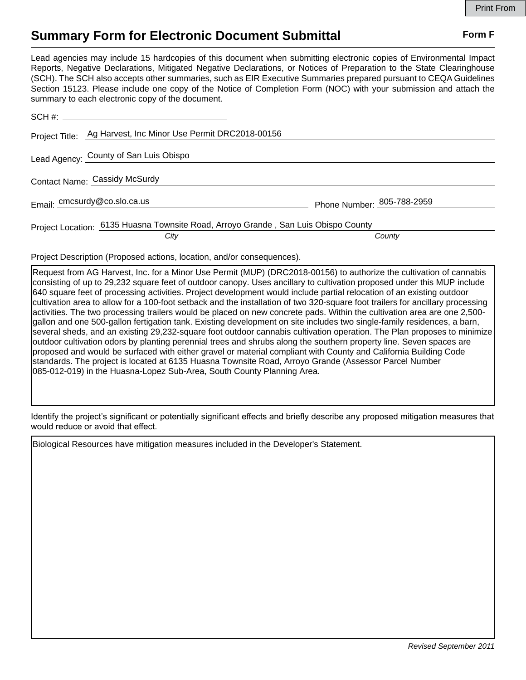## **Summary Form for Electronic Document Submittal Form F Form F**

Lead agencies may include 15 hardcopies of this document when submitting electronic copies of Environmental Impact Reports, Negative Declarations, Mitigated Negative Declarations, or Notices of Preparation to the State Clearinghouse (SCH). The SCH also accepts other summaries, such as EIR Executive Summaries prepared pursuant to CEQA Guidelines Section 15123. Please include one copy of the Notice of Completion Form (NOC) with your submission and attach the summary to each electronic copy of the document.

|                               | Project Title: Ag Harvest, Inc Minor Use Permit DRC2018-00156                              |                            |
|-------------------------------|--------------------------------------------------------------------------------------------|----------------------------|
|                               | Lead Agency: County of San Luis Obispo                                                     |                            |
| Contact Name: Cassidy McSurdy |                                                                                            |                            |
|                               | Email: cmcsurdy@co.slo.ca.us                                                               | Phone Number: 805-788-2959 |
|                               | Project Location: 6135 Huasna Townsite Road, Arroyo Grande, San Luis Obispo County<br>City | County                     |

Project Description (Proposed actions, location, and/or consequences).

Request from AG Harvest, Inc. for a Minor Use Permit (MUP) (DRC2018-00156) to authorize the cultivation of cannabis consisting of up to 29,232 square feet of outdoor canopy. Uses ancillary to cultivation proposed under this MUP include 640 square feet of processing activities. Project development would include partial relocation of an existing outdoor cultivation area to allow for a 100-foot setback and the installation of two 320-square foot trailers for ancillary processing activities. The two processing trailers would be placed on new concrete pads. Within the cultivation area are one 2,500 gallon and one 500-gallon fertigation tank. Existing development on site includes two single-family residences, a barn, several sheds, and an existing 29,232-square foot outdoor cannabis cultivation operation. The Plan proposes to minimize outdoor cultivation odors by planting perennial trees and shrubs along the southern property line. Seven spaces are proposed and would be surfaced with either gravel or material compliant with County and California Building Code standards. The project is located at 6135 Huasna Townsite Road, Arroyo Grande (Assessor Parcel Number 085-012-019) in the Huasna-Lopez Sub-Area, South County Planning Area.

Identify the project's significant or potentially significant effects and briefly describe any proposed mitigation measures that would reduce or avoid that effect.

Biological Resources have mitigation measures included in the Developer's Statement.